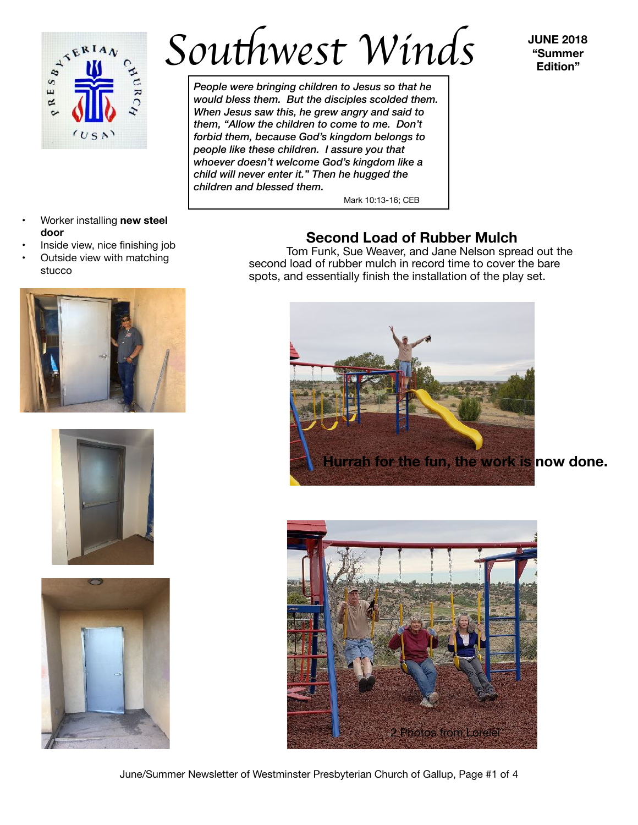

*Southwest Winds JUNE 2018* 

*People were bringing children to Jesus so that he would bless them. But the disciples scolded them. When Jesus saw this, he grew angry and said to them, "Allow the children to come to me. Don't forbid them, because God's kingdom belongs to people like these children. I assure you that whoever doesn't welcome God's kingdom like a child will never enter it." Then he hugged the children and blessed them.* 

 Mark 10:13-16; CEB

- Worker installing **new steel door**
- Inside view, nice finishing job
- Outside view with matching stucco







# **Second Load of Rubber Mulch**

Tom Funk, Sue Weaver, and Jane Nelson spread out the second load of rubber mulch in record time to cover the bare spots, and essentially finish the installation of the play set.





June/Summer Newsletter of Westminster Presbyterian Church of Gallup, Page #1 of 4

**"Summer Edition"**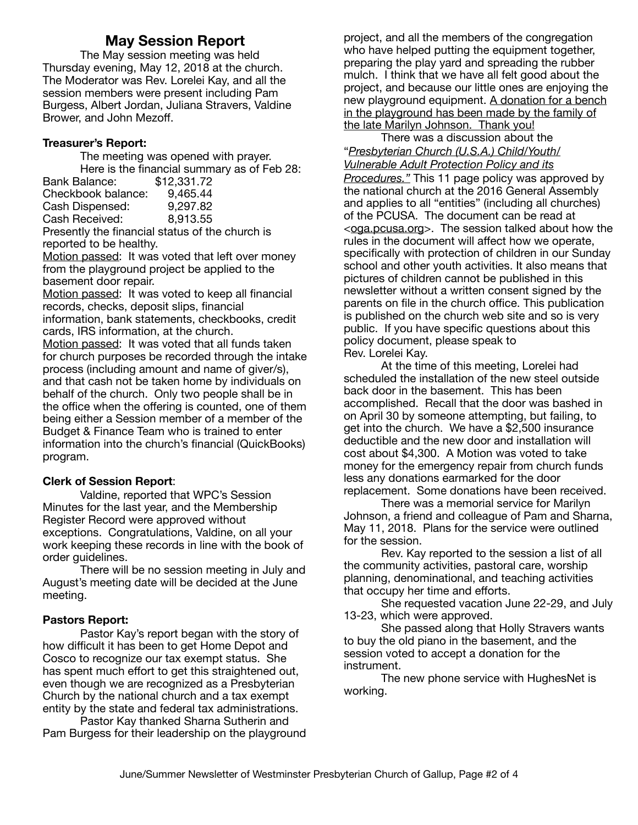# **May Session Report**

The May session meeting was held Thursday evening, May 12, 2018 at the church. The Moderator was Rev. Lorelei Kay, and all the session members were present including Pam Burgess, Albert Jordan, Juliana Stravers, Valdine Brower, and John Mezoff.

#### **Treasurer's Report:**

The meeting was opened with prayer. Here is the financial summary as of Feb 28:

| <b>Bank Balance:</b> | \$12,331.72 |
|----------------------|-------------|
| Checkbook balance:   | 9,465.44    |
| Cash Dispensed:      | 9,297.82    |
| Cash Received:       | 8.913.55    |
|                      |             |

Presently the financial status of the church is reported to be healthy.

Motion passed: It was voted that left over money from the playground project be applied to the basement door repair.

Motion passed: It was voted to keep all financial records, checks, deposit slips, financial

information, bank statements, checkbooks, credit cards, IRS information, at the church.

Motion passed: It was voted that all funds taken for church purposes be recorded through the intake process (including amount and name of giver/s), and that cash not be taken home by individuals on behalf of the church. Only two people shall be in the office when the offering is counted, one of them being either a Session member of a member of the Budget & Finance Team who is trained to enter information into the church's financial (QuickBooks) program.

### **Clerk of Session Report**:

Valdine, reported that WPC's Session Minutes for the last year, and the Membership Register Record were approved without exceptions. Congratulations, Valdine, on all your work keeping these records in line with the book of order guidelines.

There will be no session meeting in July and August's meeting date will be decided at the June meeting.

#### **Pastors Report:**

Pastor Kay's report began with the story of how difficult it has been to get Home Depot and Cosco to recognize our tax exempt status. She has spent much effort to get this straightened out, even though we are recognized as a Presbyterian Church by the national church and a tax exempt entity by the state and federal tax administrations.

Pastor Kay thanked Sharna Sutherin and Pam Burgess for their leadership on the playground

project, and all the members of the congregation who have helped putting the equipment together, preparing the play yard and spreading the rubber mulch. I think that we have all felt good about the project, and because our little ones are enjoying the new playground equipment. A donation for a bench in the playground has been made by the family of the late Marilyn Johnson. Thank you!

There was a discussion about the "*Presbyterian Church (U.S.A.) Child/Youth/ Vulnerable Adult Protection Policy and its Procedures."* This 11 page policy was approved by the national church at the 2016 General Assembly and applies to all "entities" (including all churches) of the PCUSA. The document can be read at <[oga.pcusa.org](http://oga.pcusa.org)>. The session talked about how the rules in the document will affect how we operate, specifically with protection of children in our Sunday school and other youth activities. It also means that pictures of children cannot be published in this newsletter without a written consent signed by the parents on file in the church office. This publication is published on the church web site and so is very public. If you have specific questions about this policy document, please speak to Rev. Lorelei Kay.

At the time of this meeting, Lorelei had scheduled the installation of the new steel outside back door in the basement. This has been accomplished. Recall that the door was bashed in on April 30 by someone attempting, but failing, to get into the church. We have a \$2,500 insurance deductible and the new door and installation will cost about \$4,300. A Motion was voted to take money for the emergency repair from church funds less any donations earmarked for the door replacement. Some donations have been received.

There was a memorial service for Marilyn Johnson, a friend and colleague of Pam and Sharna, May 11, 2018. Plans for the service were outlined for the session.

Rev. Kay reported to the session a list of all the community activities, pastoral care, worship planning, denominational, and teaching activities that occupy her time and efforts.

She requested vacation June 22-29, and July 13-23, which were approved.

She passed along that Holly Stravers wants to buy the old piano in the basement, and the session voted to accept a donation for the instrument.

The new phone service with HughesNet is working.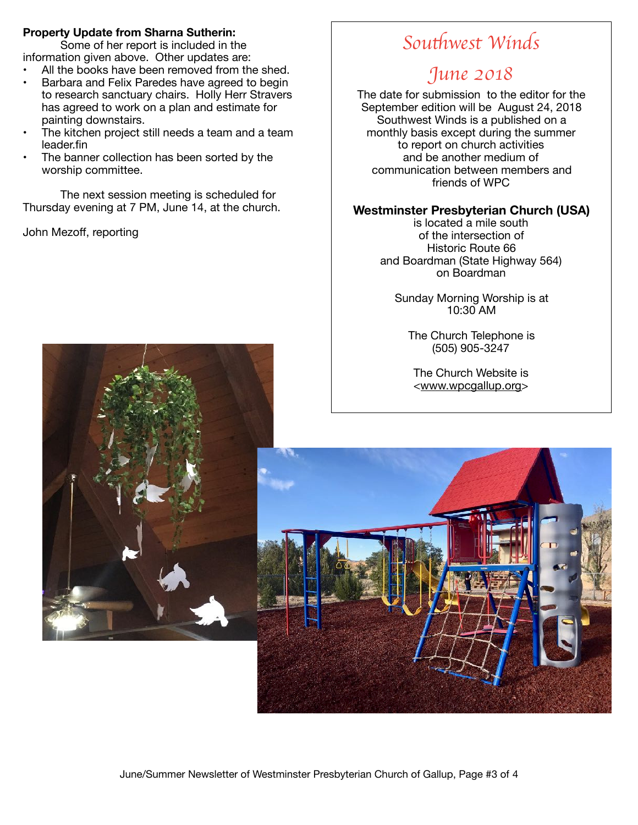### **Property Update from Sharna Sutherin:**

Some of her report is included in the information given above. Other updates are:

- All the books have been removed from the shed.
- Barbara and Felix Paredes have agreed to begin to research sanctuary chairs. Holly Herr Stravers has agreed to work on a plan and estimate for painting downstairs.
- The kitchen project still needs a team and a team leader.fin
- The banner collection has been sorted by the worship committee.

The next session meeting is scheduled for Thursday evening at 7 PM, June 14, at the church.

John Mezoff, reporting

# *Sou*t*west Winds*

# *June 2018*

The date for submission to the editor for the September edition will be August 24, 2018 Southwest Winds is a published on a monthly basis except during the summer to report on church activities and be another medium of communication between members and friends of WPC

# **Westminster Presbyterian Church (USA)**

is located a mile south of the intersection of Historic Route 66 and Boardman (State Highway 564) on Boardman

Sunday Morning Worship is at 10:30 AM

The Church Telephone is (505) 905-3247

The Church Website is [<www.wpcgallup.org>](http://www.wpcgallup.org)